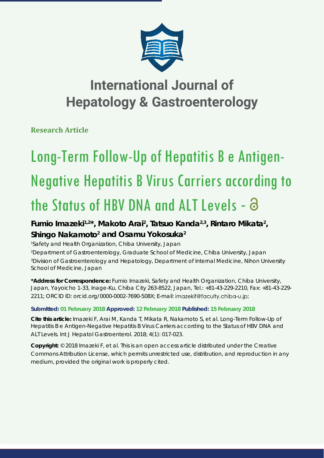

# **International Journal of Hepatology & Gastroenterology**

**Research Article**

# Long-Term Follow-Up of Hepatitis B e Antigen-Negative Hepatitis B Virus Carriers according to the Status of HBV DNA and ALT Levels -

## Fumio Imazeki<sup>1,2\*</sup>, Makoto Arai<sup>2</sup>, Tatsuo Kanda<sup>2,3</sup>, Rintaro Mikata<sup>2</sup>, Shingo Nakamoto<sup>2</sup> and Osamu Yokosuka<sup>2</sup>

 *Safety and Health Organization, Chiba University, Japan Department of Gastroenterology, Graduate School of Medicine, Chiba University, Japan Division of Gastroenterology and Hepatology, Department of Internal Medicine, Nihon University School of Medicine, Japan*

**\*Address for Correspondence:** Fumio Imazeki, Safety and Health Organization, Chiba University, Japan, Yayoicho 1-33, Inage-Ku, Chiba City 263-8522, Japan, Tel.: +81-43-229-2210, Fax: +81-43-229- 2211; ORCID ID: orcid.org/0000-0002-7690-508X; E-mail: imazekif@faculty.chiba-u.jp;

### **Submitted: 01 February 2018 Approved: 12 February 2018 Published: 15 February 2018**

**Cite this article:** Imazeki F, Arai M, Kanda T, Mikata R, Nakamoto S, et al. Long-Term Follow-Up of Hepatitis B e Antigen-Negative Hepatitis B Virus Carriers according to the Status of HBV DNA and ALT Levels. Int J Hepatol Gastroenterol. 2018; 4(1): 017-023.

**Copyright:** © 2018 Imazeki F, et al. This is an open access article distributed under the Creative Commons Attribution License, which permits unrestricted use, distribution, and reproduction in any medium, provided the original work is properly cited.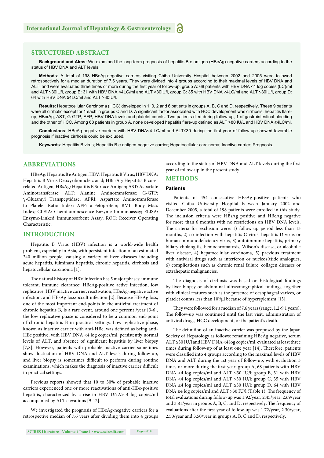#### **STRUCTURED ABSTRACT**

**Background and Aims:** We examined the long-term prognosis of hepatitis B e antigen (HBeAg)-negative carriers according to the status of HBV DNA and ALT levels.

**Methods**: A total of 198 HBeAg-negative carriers visiting Chiba University Hospital between 2002 and 2005 were followed retrospectively for a median duration of 7.6 years. They were divided into 4 groups according to their maximal levels of HBV DNA and ALT, and were evaluated three times or more during the first year of follow-up: group A: 68 patients with HBV DNA <4 log copies (LC)/ml and ALT ≤30IU/l, group B: 31 with HBV DNA <4LC/ml and ALT >30IU/l, group C: 35 with HBV DNA ≥4LC/ml and ALT ≤30IU/l, group D: 64 with HBV DNA ≥4LC/ml and ALT >30IU/l.

**Results**: Hepatocellular Carcinoma (HCC) developed in 1, 0, 2 and 6 patients in groups A, B, C and D, respectively. These 9 patients were all cirrhotic except for 1 each in groups C and D. A significant factor associated with HCC development was cirrhosis, hepatitis flareup, HBcrAg, AST, G-GTP, AFP, HBV DNA levels and platelet counts. Two patients died during follow-up, 1 of gastrointestinal bleeding and the other of HCC. Among 68 patients in group A, none developed hepatitis flare-up defined as ALT >80 IU/L and HBV DNA ≥4LC/ml.

Conclusions: HBeAg-negative carriers with HBV DNA<4 LC/ml and ALT≤30 during the first year of follow-up showed favorable prognosis if inactive cirrhosis could be excluded.

**Keywords**: Hepatitis B virus; Hepatitis B e antigen-negative carrier; Hepatocellular carcinoma; Inactive carrier; Prognosis.

#### **ABBREVIATIONS**

HBeAg: Hepatitis B e Antigen; HBV: Hepatitis B Virus; HBV DNA: Hepatitis B Virus Deoxyribonucleic acid; HBcrAg: Hepatitis B corerelated Antigen; HBsAg: Hepatitis B Surface Antigen; AST: Aspartate Aminotransferase; ALT: Alanine Aminotransferase; G-GTP: γ-Glutamyl Transpeptidase; APRI: Aspartate Aminotransferase to Platelet Ratio Index; AFP: α-Fetoprotein; BMI: Body Mass Index; CLEIA: Chemiluminescence Enzyme Immunoassay; ELISA: Enzyme-Linked Immunosorbent Assay; ROC: Receiver Operating Characteristic.

#### **INTRODUCTION**

Hepatitis B Virus (HBV) infection is a world-wide health problem, especially in Asia, with persistent infection of an estimated 240 million people, causing a variety of liver diseases including acute hepatitis, fulminant hepatitis, chronic hepatitis, cirrhosis and hepatocellular carcinoma [1].

The natural history of HBV infection has 5 major phases: immune tolerant, immune clearance; HBeAg-positive active infection, low replicative; HBV inactive carrier, reactivation; HBeAg-negative active infection, and HBsAg loss/occult infection [2]. Because HBsAg loss, one of the most important end-points in the antiviral treatment of chronic hepatitis B, is a rare event, around one percent /year [3-6], the low replicative phase is considered to be a common end-point of chronic hepatitis B in practical settings. Low replicative phase, known as inactive carrier with anti-HBe, was defined as being anti-HBe positive, with HBV DNA <4 log copies/ml, persistently normal levels of ALT, and absence of significant hepatitis by liver biopsy [7,8]. However, patients with probable inactive carrier sometimes show fluctuation of HBV DNA and ALT levels during follow-up, and liver biopsy is sometimes difficult to perform during routine examinations, which makes the diagnosis of inactive carrier difficult in practical settings.

Previous reports showed that 10 to 30% of probable inactive carriers experienced one or more reactivations of anti-HBe-positive hepatitis, characterized by a rise in HBV DNA> 4 log copies/ml accompanied by ALT elevations [9-12].

We investigated the prognosis of HBeAg-negative carriers for a retrospective median of 7.6 years after dividing them into 4 groups according to the status of HBV DNA and ALT levels during the first year of follow-up in the present study.

#### **METHODS**

#### **Patients**

Patients of 454 consecutive HBsAg-positive patients who visited Chiba University Hospital between January 2002 and December 2005, a total of 198 patients were enrolled in this study. The inclusion criteria were HBsAg positive and HBeAg negative for more than 6 months with no restrictions on HBV DNA levels. The criteria for exclusion were: 1) follow-up period less than 13 months, 2) co-infection with hepatitis C virus, hepatitis D virus or human immunodeficiency virus, 3) autoimmune hepatitis, primary biliary cholangitis, hemochromatosis, Wilson's disease, or alcoholic liver disease, 4) hepatocellular carcinoma, 5) previous treatment with antiviral drugs such as interferon or nucleos(t)ide analogues, 6) complications such as chronic renal failure, collagen diseases or extrahepatic malignancies.

The diagnosis of cirrhosis was based on histological findings by liver biopsy or abdominal ultrasonographical findings, together with clinical features such as the presence of oesophageal varices, or platelet counts less than 10<sup>5</sup>/μl because of hypersplenism [13].

They were followed for a median of 7.6 years (range, 1.2-9.1 years). The follow-up was continued until the last visit, administration of antiviral drugs, HCC development, or the patient's death.

The definition of an inactive carrier was proposed by the Japan Society of Hepatology as follows: remaining HBeAg negative, serum ALT ≤30 IU/l and HBV DNA <4 log copies/ml, evaluated at least three times during follow-up of at least one year [14]. Therefore, patients were classified into 4 groups according to the maximal levels of HBV DNA and ALT during the 1st year of follow-up, with evaluation 3 times or more during the first year: group A, 68 patients with HBV DNA <4 log copies/ml and ALT ≤30 IU/l; group B, 31 with HBV DNA <4 log copies/ml and ALT >30 IU/l; group C, 35 with HBV DNA ≥4 log copies/ml and ALT  $\leq$ 30 IU/l; group D, 64 with HBV DNA ≥4 log copies/ml and ALT >30 IU/l (Table 1). The frequency of total evaluations during follow-up was 1.92/year, 2.45/year, 2.69/year and 3.81/year in groups A, B, C, and D, respectively. The frequency of evaluations after the first year of follow-up was 1.72/year, 2.30/year, 2.50/year and 3.50/year in groups A, B, C and D, respectively.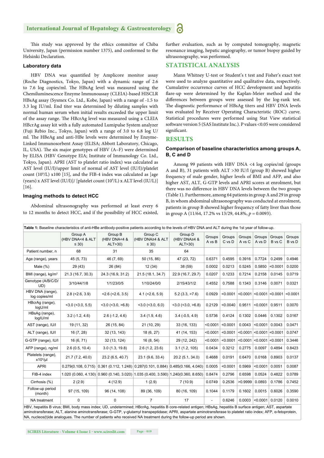#### **International Journal of Hepatology & Gastroenterology**

This study was approved by the ethics committee of Chiba University, Japan (permission number 1375), and conformed to the Helsinki Declaration.

#### **Laboratory data**

HBV DNA was quantified by Amplicore monitor assay (Roche Diagnostics, Tokyo, Japan) with a dynamic range of 2.6 to 7.6 log copies/ml. The HBsAg level was measured using the Chemiluminescence Enzyme Immunoassay (CLEIA)-based HISCLR HBsAg assay (Sysmex Co. Ltd., Kobe, Japan) with a range of -1.5 to 3.3 log IU/ml. End titer was determined by diluting samples with normal human serum when initial results exceeded the upper limit of the assay range. The HBcrAg level was measured using a CLEIA HBcrAg assay kit with a fully automated Lumipulse System analyzer (Fuji Rebio Inc., Tokyo, Japan) with a range of 3.0 to 6.8 log U/ ml. The HBeAg and anti-HBe levels were determined by Enzyme-Linked Immunosorbent Assay (ELISA; Abbott Laboratory, Chicago, IL, USA). The six major genotypes of HBV (A–F) were determined by ELISA (HBV Genotype EIA; Institute of Immunology Co. Ltd., Tokyo, Japan). APRI (AST to platelet ratio index) was calculated as AST level (IU/l)/upper limit of normal of AST level (IU/l)/platelet count (109 /L) x100 [15], and the FIB-4 index was calculated as [age (years) x AST level (IU/l)]/ [platelet count (10<sup>9</sup>/L) x ALT level (IU/L)] [16].

#### **Imaging methods to detect HCC**

Abdominal ultrasonography was performed at least every 6 to 12 months to detect HCC, and if the possibility of HCC existed, further evaluation, such as by computed tomography, magnetic resonance imaging, hepatic angiography, or tumor biopsy guided by ultrasonography, was performed.

#### **STATISTICAL ANALYSIS**

Mann Whitney U-test or Student's t test and Fisher's exact test were used to analyze quantitative and qualitative data, respectively. Cumulative occurrence curves of HCC development and hepatitis flare-up were determined by the Kaplan-Meier method and the differences between groups were assessed by the log-rank test. The diagnostic performance of HBsAg titers and HBV DNA levels was evaluated by Receiver Operating Characteristic (ROC) curve. Statistical procedures were performed using Stat View statistical software version 5 (SAS Institute Inc.). P values <0.05 were considered significant.

#### **RESULTS**

#### **Comparison of baseline characteristics among groups A, B, C and D**

Among 99 patients with HBV DNA <4 log copies/ml (groups A and B), 31 patients with ALT >30 IU/l (group B) showed higher frequency of male gender, higher levels of BMI and AFP, and also higher AST, ALT, G-GTP levels and APRI scores at enrolment, but there was no difference in HBV DNA levels between the two groups (Table 1). Furthermore, among 64 patients in group A and 29 in group B, in whom abdominal ultrasonography was conducted at enrolment, patients in group B showed higher frequency of fatty liver than those in group A (11/64, 17.2% vs 13/29, 44.8%, *p* = 0.0093).

|                                   | Table 1: Baseline characteristics of anti-HBe antibody-positive patients according to the levels of HBV DNA and ALT during the 1st year of follow-up. |                                                                                          |                                           |                                    |                  |                  |                  |                  |                                           |                  |
|-----------------------------------|-------------------------------------------------------------------------------------------------------------------------------------------------------|------------------------------------------------------------------------------------------|-------------------------------------------|------------------------------------|------------------|------------------|------------------|------------------|-------------------------------------------|------------------|
|                                   | Group A<br>(HBV DNA<4 & ALT<br>$\leq$ 30)                                                                                                             | Group B<br>(HBV DNA<4 &<br>ALT>30)                                                       | Group C<br>(HBV DNA≥4 & ALT<br>$\leq$ 30) | Group D<br>(HBV DNA≥4 &<br>ALT>30) | Groups<br>A vs B | Groups<br>C vs D | Groups<br>A vs C | Groups<br>A vs D | Groups<br>B vs C                          | Groups<br>B vs D |
| Patient number, n                 | 68                                                                                                                                                    | 31                                                                                       | 35                                        | 64                                 |                  |                  |                  |                  |                                           |                  |
| Age (range), years                | 45 (5, 73)                                                                                                                                            | 46 (7, 69)                                                                               | 50 (15, 86)                               | 47 (23, 72)                        | 0.6371           | 0.4595           | 0.3916           | 0.7724           | 0.2499                                    | 0.4946           |
| Male $(\%)$                       | 29 (43)                                                                                                                                               | 26 (84)                                                                                  | 12(34)                                    | 38 (59)                            | 0.0002           | 0.0213           | 0.5245           | 0.5850           | < 0.0001                                  | 0.0200           |
| BMI (range), kg/m <sup>2</sup>    | 21.3 (16.7, 30.3)                                                                                                                                     | 24.3 (16.9, 31.2)                                                                        | 21.5 (18.1, 34.7)                         | 22.9 (16.7, 29.7)                  | 0.0207           | 0.1233           | 0.7214           | 0.2158           | 0.0145                                    | 0.0719           |
| Genotype (A/B/C/D/<br>UD)         | 3/10/44/1/8                                                                                                                                           | 1/1/23/0/5                                                                               | 1/10/24/0/0                               | 2/15/43/1/2                        | 0.4552           | 0.7588           | 0.1343           | 0.3146           | 0.0071                                    | 0.0321           |
| HBV DNA (range),<br>log copies/ml | $2.8$ (< $2.6$ , $3.9$ )                                                                                                                              | $<2.6$ ( $<2.6$ , 3.5)                                                                   | $4.1$ (<2.6, 5.9)                         | 5.2(3.3, >7.6)                     | 0.0929           | < 0.0001         |                  |                  | $\leq$ 0.0001 $\leq$ 0.0001 $\leq$ 0.0001 | < 0.0001         |
| HBcrAg (range),<br>logU/ml        | $<$ 3.0 ( $<$ 3.0, 5.5)                                                                                                                               | $<$ 3.0 ( $<$ 3.0, $>$ 6.8)                                                              | $<$ 3.0 ( $<$ 3.0, 6.0)                   | $<$ 3.0 ( $<$ 3.0, $>$ 6.8)        | 0.2129           | < 0.0040         | 0.9511           | < 0.0001         | 0.9511                                    | 0.0070           |
| HBsAq (range),<br>logIU/ml        | $3.2$ ( $-1.2$ , $4.6$ )                                                                                                                              | $2.6$ ( $-1.2, 4.6$ )                                                                    | 3.4(1.9, 4.6)                             | $3.4(-0.5, 4.9)$                   | 0.5736           | 0.4124           | 0.1302           | 0.0446           | 0.1302                                    | 0.0167           |
| AST (range), IU/I                 | 19 (11, 32)                                                                                                                                           | 26 (15, 84)                                                                              | 21 (10, 29)                               | 33 (16, 133)                       | < 0.0001         | < 0.0001         | 0.0043           | < 0.0001         | 0.0043                                    | 0.0471           |
| ALT (range), IU/I                 | 16(7, 28)                                                                                                                                             | 32 (13, 143)                                                                             | 18 (6, 27)                                | 41 (14, 153)                       | < 0.0001         | < 0.0001         | < 0.0001         |                  | $< 0.0001$ $< 0.0001$                     | 0.0747           |
| G-GTP (range), IU/I               | 16(6, 71)                                                                                                                                             | 32 (13, 124)                                                                             | 16(8, 54)                                 | 29 (12, 242)                       | < 0.0001         | < 0.0001         | < 0.0001         | < 0.0001         | < 0.0001                                  | 0.3446           |
| AFP (range), ng/ml                | 2.6(0.5, 10.4)                                                                                                                                        | 3.0(1.3, 19.8)                                                                           | 2.6(1.2, 23.6)                            | 3.1(1.2, 105)                      | 0.0434           | 0.3212           | 0.2775           | 0.0097           | 0.4894                                    | 0.8423           |
| Platelets (range),<br>$x104/\mu$  | 21.7 (7.2, 40.0)                                                                                                                                      | 23.2 (6.5, 40.7)                                                                         | 23.1 (9.6, 33.4)                          | 20.2 (5.1, 34.0)                   | 0.4688           | 0.0191           | 0.6470           | 0.0168           | 0.8903                                    | 0.0137           |
| <b>APRI</b>                       |                                                                                                                                                       | $0.279(0.108, 0.715)$ $0.361$ (0.112, 1.248) $0.287(0.101, 0.884)$ $0.485(0.166, 4.040)$ |                                           |                                    | 0.0005           | < 0.0001         | 0.5969           | < 0.0001         | 0.0051                                    | 0.0087           |
| FIB-4 index                       |                                                                                                                                                       | $(1.020(0.060, 4.130)(0.960(0.140, 3.020)(1.035(0.400, 3.590))(1.240(0.360, 8.650))$     |                                           |                                    | 0.8474           | 0.2796           | 0.6598           | 0.0524           | 0.4822                                    | 0.0789           |
| Cirrhosis (%)                     | 2(2.9)                                                                                                                                                | 4(12.9)                                                                                  | 1(2.9)                                    | 7(10.9)                            | 0.0749           | 0.2536           | >0.9999          | 0.0893           | 0.1786                                    | 0.7452           |
| Follow-up period<br>(month)       | 97 (15, 109)                                                                                                                                          | 96 (14, 108)                                                                             | 89 (36, 109)                              | 80 (16, 109)                       | 0.1044           | 0.1179           | 0.1602           | 0.0015           | 0.6026                                    | 0.3590           |
| NA treatment                      | 0                                                                                                                                                     | 0                                                                                        | $\overline{7}$                            | 17                                 | $\blacksquare$   | 0.6246           | 0.0003           | < 0.0001         | 0.0120                                    | 0.0010           |

HBV, hepatitis B virus; BMI, body mass index; UD, undetermined; HBcrAg, hepatitis B core-related antigen; HBsAg, hepatitis B surface antigen; AST, aspartate aminotransferase; ALT, alanine aminotransferase; G-GTP, γ-glutamyl transpeptidase; APRI, aspartate aminotransferase to platelet ratio index; AFP, α-fetoprotein, NA, nucleos(t)ide analogues. The number of patients who received NA treatment during the follow-up period are shown.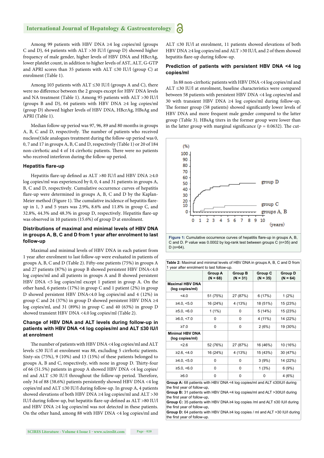Among 99 patients with HBV DNA ≥4 log copies/ml (groups C and D), 64 patients with ALT >30 IU/l (group D) showed higher frequency of male gender, higher levels of HBV DNA and HBcrAg, lower platelet count, in addition to higher levels of AST, ALT, G-GTP and APRI scores than 35 patients with ALT ≤30 IU/l (group C) at enrolment (Table 1).

Among 103 patients with ALT  $\leq$ 30 IU/l (groups A and C), there were no difference between the 2 groups except for HBV DNA levels and NA treatment (Table 1). Among 95 patients with ALT >30 IU/l (groups B and D), 64 patients with HBV DNA ≥4 log copies/ml (group D) showed higher levels of HBV DNA, HBcrAg, HBsAg and APRI (Table 1).

Median follow-up period was 97, 96, 89 and 80 months in groups A, B, C and D, respectively. The number of patients who received nucleos(t)ide analogues treatment during the follow-up period was 0, 0, 7 and 17 in groups A, B, C and D, respectively (Table 1) or 20 of 184 non-cirrhotic and 4 of 14 cirrhotic patients. There were no patients who received interferon during the follow-up period.

#### **Hepatitis flare-up**

Hepatitis flare-up defined as ALT >80 IU/l and HBV DNA ≥4.0 log copies/ml was experienced by 0, 0, 4 and 31 patients in groups A, B, C and D, respectively. Cumulative occurrence curves of hepatitis flare-up were determined in groups A, B, C and D by the Kaplan-Meier method (Figure 1). The cumulative incidence of hepatitis flareup in 1, 3 and 5 years was 2.9%, 8.6% and 11.8% in group C, and 32.8%, 44.3% and 48.3% in group D, respectively. Hepatitis flare-up was observed in 10 patients (15.6%) of group D at enrolment.

#### **Distributions of maximal and minimal levels of HBV DNA in groups A, B, C and D from 1 year after enrolment to last follow-up**

Maximal and minimal levels of HBV DNA in each patient from 1 year after enrolment to last follow-up were evaluated in patients of groups A, B, C and D (Table 2). Fifty-one patients (75%) in groups A and 27 patients (87%) in group B showed persistent HBV DNA<4.0 log copies/ml and all patients in groups A and B showed persistent HBV DNA <5 log copies/ml except 1 patient in group A. On the other hand, 6 patients (17%) in group C and 1 patient (2%) in group D showed persistent HBV DNA<4.0 log copies/ml and 4 (12%) in group C and 24 (37%) in group D showed persistent HBV DNA  $\geq$ 4 log copies/ml, and 31 (89%) in group C and 40 (63%) in group D showed transient HBV DNA <4.0 log copies/ml (Table 2).

#### **Change of HBV DNA and ALT levels during follow-up in patients with HBV DNA <4 log copies/ml and ALT ≤30 IU/l at enrolment**

The number of patients with HBV DNA <4 log copies/ml and ALT levels ≤30 IU/l at enrolment was 88, excluding 5 cirrhotic patients. Sixty-six (75%), 9 (10%) and 13 (15%) of these patients belonged to groups A, B and C, respectively, with none in group D. Thirty-four of 66 (51.5%) patients in group A showed HBV DNA <4 log copies/ ml and ALT  $\leq$ 30 IU/l throughout the follow-up period. Therefore, only 34 of 88 (38.6%) patients persistently showed HBV DNA <4 log copies/ml and ALT ≤30 IU/l during follow-up. In group A, 4 patients showed elevations of both HBV DNA ≥4 log copies/ml and ALT >30 IU/l during follow-up, but hepatitis flare-up defined as ALT >80 IU/l and HBV DNA ≥4 log copies/ml was not detected in these patients. On the other hand, among 88 with HBV DNA <4 log copies/ml and ALT ≤30 IU/l at enrolment, 11 patients showed elevations of both HBV DNA ≥4 log copies/ml and ALT >30 IU/l, and 2 of them showed hepatitis flare-up during follow-up.

#### **Prediction of patients with persistent HBV DNA <4 log copies/ml**

In 88 non-cirrhotic patients with HBV DNA <4 log copies/ml and ALT ≤30 IU/l at enrolment, baseline characteristics were compared between 58 patients with persistent HBV DNA <4 log copies/ml and 30 with transient HBV DNA ≥4 log copies/ml during follow-up. The former group (58 patients) showed significantly lower levels of HBV DNA and more frequent male gender compared to the latter group (Table 3). HBsAg titers in the former group were lower than in the latter group with marginal significance ( $p = 0.0632$ ). The cut-



**Table 2:** Maximal and minimal levels of HBV DNA in groups A, B, C and D from 1 year after enrolment to last follow-up.

|                                           | Group A<br>$(N = 68)$ | Group B<br>$(N = 31)$ | Group C<br>$(N = 35)$ | Group D<br>$(N = 64)$ |
|-------------------------------------------|-----------------------|-----------------------|-----------------------|-----------------------|
| <b>Maximal HBV DNA</b><br>(log copies/ml) |                       |                       |                       |                       |
| 4.0                                       | 51 (75%)              | 27 (87%)              | 6 (17%)               | $1(2\%)$              |
| ≥4.0, ≤5.0                                | 16 (24%)              | 4 (13%)               | 18 (51%)              | 15 (23%)              |
| ≥5.0, ≤6.0                                | $1(1\%)$              | 0                     | 5 (14%)               | 15 (23%)              |
| ≥6.0, <7.0                                | 0                     | 0                     | 4 (11%)               | 14 (22%)              |
| $\geq 7.0$                                | 0                     | 0                     | 2(6%)                 | 19 (30%)              |
| <b>Minimal HBV DNA</b><br>(log copies/ml) |                       |                       |                       |                       |
| 2.6                                       | 52 (76%)              | 27 (87%)              | 16 (46%)              | 10 (16%)              |
| ≥2.6, ≤4.0                                | 16 (24%)              | 4 (13%)               | 15 (43%)              | 30 (47%)              |
| ≥4.0, ≤5.0                                | 0                     | 0                     | 3(9%)                 | 14 (22%)              |
| ≥5.0, <6.0                                | 0                     | 0                     | 1(3%)                 | 6(9%)                 |
| ≥6.0                                      | 0                     | 0                     | 0                     | 4 (6%)                |

**Group A:** 68 patients with HBV DNA <4 log copies/ml and ALT ≤30IU/l during the first year of follow-up,

**Group B:** 31 patients with HBV DNA <4 log copies/ml and ALT >30IU/l during the first year of follow-up

**Group C:** 35 patients with HBV DNA ≥4 log copies /ml and ALT ≤30 IU/l during the first year of follow-up,

**Group D:** 64 patients with HBV DNA ≥4 log copies / ml and ALT >30 IU/l during the first year of follow-up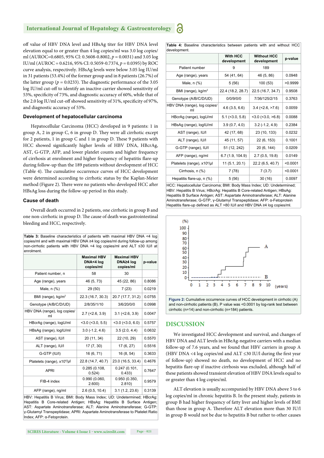off value of HBV DNA level and HBsAg titer for HBV DNA level elevation equal to or greater than 4 log copies/ml was 3.0 log copies/ ml (AUROC=0.6805, 95% CI: 0.5608-0.8002, *p* = 0.0031) and 3.05 log IU/ml (AUROC = 0.6216, 95% CI: 0.5059-0.7374, *p* = 0.0395) by ROC curve analysis, respectively. HBsAg levels were below 3.05 log IU/ml in 31 patients (53.4%) of the former group and in 8 patients (26.7%) of the latter group ( $p = 0.0233$ ). The diagnostic performance of the 3.05 log IU/ml cut-off to identify an inactive carrier showed sensitivity of 53%, specificity of 73%, and diagnostic accuracy of 60%, while that of the 2.0 log IU/ml cut-off showed sensitivity of 31%, specificity of 97%, and diagnostic accuracy of 53%.

#### **Development of hepatocellular carcinoma**

Hepatocellular Carcinoma (HCC) developed in 9 patients: 1 in group  $A$ ,  $2$  in group  $C$ ,  $6$  in group  $D$ . They were all cirrhotic except for 2 patients, 1 in group  $C$  and 1 in group  $D$ . These 9 patients with HCC showed significantly higher levels of HBV DNA, HBcrAg, AST, G-GTP, AFP, and lower platelet counts and higher frequency of cirrhosis at enrolment and higher frequency of hepatitis flare-up during follow-up than the 189 patients without development of HCC (Table 4). The cumulative occurrence curves of HCC development were determined according to cirrhotic status by the Kaplan-Meier method (Figure 2). There were no patients who developed HCC after HBsAg loss during the follow-up period in this study.

#### **Cause of death**

Overall death occurred in 2 patients, one cirrhotic in group B and one non-cirrhotic in group D. The cause of death was gastrointestinal bleeding and HCC, respectively.

| <b>Table 3:</b> Baseline characteristics of patients with maximal HBV DNA <4 log |  |
|----------------------------------------------------------------------------------|--|
| copies/ml and with maximal HBV DNA ≥4 log copies/ml during follow-up among       |  |
| non-cirrhotic patients with HBV DNA <4 log copies/ml and ALT $\leq$ 30 IU/l at   |  |
| enrolment.                                                                       |  |

|                                         | <b>Maximal HBV</b><br>DNA<4 log<br>copies/ml | <b>Maximal HBV</b><br>DNA≥4 log<br>copies/ml | p-value |
|-----------------------------------------|----------------------------------------------|----------------------------------------------|---------|
| Patient number, n                       | 58                                           | 30                                           |         |
| Age (range), years                      | 46 (5, 73)                                   | 45 (22, 86)                                  | 0.8086  |
| Male, $n$ $%$                           | 29 (50)                                      | 7(23)                                        | 0.0219  |
| BMI (range), $kg/m2$                    | 22.3 (16.7, 30.3)                            | 20.7 (17.7, 31.2)                            | 0.0755  |
| Genotype (A/B/C/D/UD)                   | 2/8/35/1/10                                  | 3/6/20/0/0                                   | 0.0998  |
| HBV DNA (range), log copies/<br>ml      | $2.7$ ( $<$ 2.6, 3.9)                        | $3.1$ (<2.6, 3.9)                            | 0.0047  |
| HBcrAg (range), logU/ml                 | $<$ 3.0 ( $<$ 3.0, 5.5)                      | $<$ 3.0 ( $<$ 3.0, 6.0)                      | 0.5757  |
| HBsAg (range), logIU/ml                 | $3.0(-1.2, 4.6)$                             | 3.5(2.0, 4.4)                                | 0.0632  |
| AST (range), IU/I                       | 20 (11, 34)                                  | 22 (10, 29)                                  | 0.5570  |
| ALT (range), IU/I                       | 17(7, 30)                                    | 17 (6, 27)                                   | 0.5516  |
| G-GTP (IU/I)                            | 16 (6, 71)                                   | 16(8, 54)                                    | 0.3633  |
| Platelets (range), x10 <sup>4</sup> /µl | 22.8 (14.7, 40.7)                            | 23.0 (16.5, 33.4)                            | 0.4676  |
| <b>APRI</b>                             | 0.285(0.108,<br>0.524)                       | 0.247(0.101,<br>0.433)                       | 0.7647  |
| FIB-4 index                             | 0.990(0.060,<br>2.600)                       | 0.950(0.350,<br>2.810)                       | 0.9579  |
| AFP (range), ng/ml                      | 2.6(0.5, 10.4)                               | 3.1(1.2, 23.6)                               | 0.3139  |

HBV: Hepatitis B Virus; BMI: Body Mass Index; UD: Undetermined; HBcrAg: Hepatitis B Core-related Antigen; HBsAg: Hepatitis B Surface Antigen; AST: Aspartate Aminotransferase; ALT: Alanine Aminotransferase; G-GTP: γ-Glutamyl Transpeptidase; APRI: Aspartate Aminotransferase to Platelet Ratio Index; AFP: α-Fetoprotein.

**Table 4:** Baseline characteristics between patients with and without HCC development.

| uu vuupu on k                           |                                |                                   |          |  |
|-----------------------------------------|--------------------------------|-----------------------------------|----------|--|
|                                         | <b>With HCC</b><br>development | <b>Without HCC</b><br>development | p-value  |  |
| Patient number                          | 9                              | 189                               |          |  |
| Age (range), years                      | 54 (41, 64)                    | 46 (5, 86)                        | 0.0948   |  |
| Male, n (%)                             | 5(56)                          | 100 (53)                          | >0.9999  |  |
| BMI (range), kg/m <sup>2</sup>          | 22.4 (18.2, 28.7)              | 22.5 (16.7, 34.7)                 | 0.9508   |  |
| Genotype (A/B/C/D/UD)                   | 0/0/9/0/0                      | 7/36/125/2/15                     | 0.3763   |  |
| HBV DNA (range), log copies/<br>ml      | 4.6(3.5, 6.6)                  | $3.4$ (<2.6, >7.6)                | 0.0059   |  |
| HBcrAg (range), logU/ml                 | $5.1$ (< $3.0, 5.8$ )          | $<$ 3.0 ( $<$ 3.0, $>$ 6.8)       | 0.0088   |  |
| HBsAg (range), logIU/ml                 | 3.9(0.7, 4.0)                  | $3.2(-1.2, 4.9)$                  | 0.2384   |  |
| AST (range), IU/I                       | 42 (17, 68)                    | 23 (10, 133)                      | 0.0232   |  |
| ALT (range), IU/I                       | 45 (11, 57)                    | 22 (6, 153)                       | 0.1001   |  |
| G-GTP (range), IU/I                     | 51 (12, 242)                   | 20 (6, 144)                       | 0.0209   |  |
| AFP (range), ng/ml                      | 6.7(1.9, 104.9)                | 2.7(0.5, 19.8)                    | 0.0149   |  |
| Platelets (range), x10 <sup>4</sup> /µl | 11 (5.1, 20.1)                 | 22.2 (6.5, 40.7)                  | < 0.0001 |  |
| Cirrhosis, n (%)                        | 7 (78)                         | 7(3.7)                            | < 0.0001 |  |
| Hepatitis flare-up, n (%)               | 5(56)                          | 30(16)                            | 0.0097   |  |

HCC: Hepatocellular Carcinoma; BMI: Body Mass Index; UD: Undetermined; HBV: Hepatitis B Virus; HBcrAg: Hepatitis B Core-related Antigen; HBsAg: Hepatitis B Surface Antigen; AST: Aspartate Aminotransferase; ALT: Alanine Aminotransferase; G-GTP, γ-Glutamyl Transpeptidase; AFP: α-Fetoprotein Hepatitis flare-up defined as ALT >80 IU/l and HBV DNA ≥4 log copies/ml.



**Figure 2:** Cumulative occurrence curves of HCC development in cirrhotic (A) and non-cirrhotic patients (B). P value was <0.0001 by log-rank test between cirrhotic (n=14) and non-cirrhotic (n=184) patients.

#### **DISCUSSION**

We investigated HCC development and survival, and changes of HBV DNA and ALT levels in HBeAg-negative carriers with a median follow-up of 7.6 years, and we found that HBV carriers in group A (HBV DNA <4 log copies/ml and ALT  $\leq$ 30 IU/l during the first year of follow-up) showed no death, no development of HCC and no hepatitis flare-up if inactive cirrhosis was excluded, although half of these patients showed transient elevation of HBV DNA levels equal to or greater than 4 log copies/ml.

ALT elevation is usually accompanied by HBV DNA above 5 to 6 log copies/ml in chronic hepatitis B. In the present study, patients in group B had higher frequency of fatty liver and higher levels of BMI than those in group A. Therefore ALT elevation more than 30 IU/l in group B would not be due to hepatitis B but rather to other causes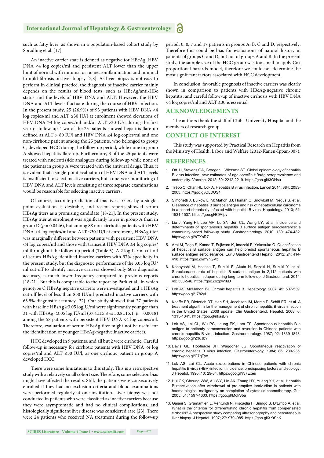such as fatty liver, as shown in a population-based cohort study by Spradling et al. [17].

An inactive carrier state is defined as negative for HBeAg, HBV DNA <4 log copies/ml and persistent ALT lower than the upper limit of normal with minimal or no necroinflammation and minimal to mild fibrosis on liver biopsy  $[7,8]$ . As liver biopsy is not easy to perform in clinical practice, the diagnosis of inactive carrier mainly depends on the results of blood tests, such as HBeAg/anti-HBe status and the levels of HBV DNA and ALT. However, the HBV DNA and ALT levels fluctuate during the course of HBV infection. In the present study, 25 (26.9%) of 93 patients with HBV DNA <4 log copies/ml and ALT ≤30 IU/l at enrolment showed elevations of HBV DNA ≥4 log copies/ml and/or ALT >30 IU/l during the first year of follow-up. Two of the 25 patients showed hepatitis flare-up defined as  $ALT > 80$  IU/l and HBV DNA ≥4 log copies/ml and one non-cirrhotic patient among the 25 patients, who belonged to group C, developed HCC during the follow-up period, while none in group A showed hepatitis flare-up. Furthermore, 3 of the 25 patients were treated with nucleot(s)ide analogues during follow-up while none of the patients in group A were treated with the antiviral drugs. Thus, it is evident that a single-point evaluation of HBV DNA and ALT levels is insufficient to select inactive carriers, but a one-year monitoring of HBV DNA and ALT levels consisting of three separate examinations would be reasonable for selecting inactive carriers.

Of course, accurate prediction of inactive carriers by a singlepoint evaluation is desirable, and recent reports showed serum HBsAg titers as a promising candidate [18-21]. In the present study, HBsAg titer at enrolment was significantly lower in group A than in group  $D$  ( $p = 0.0446$ ), but among 88 non-cirrhotic patients with HBV DNA <4 log copies/ml and ALT ≤30 IU/l at enrolment, HBsAg titer was marginally different between patients with persistent HBV DNA <4 log copies/ml and those with transient HBV DNA ≥4 log copies/ ml throughout the follow-up period (Table 3). A 2 log IU/ml cut-off of serum HBsAg identified inactive carriers with 97% specificity in the present study, but the diagnostic performance of the 3.05 log IU/ ml cut-off to identify inactive carriers showed only 60% diagnostic accuracy, a much lower frequency compared to previous reports [18-21]. But this is comparable to the report by Park et al., in which genotype C HBeAg negative carriers were investigated and a HBsAg cut-off level of less than 850 IU/ml predicted inactive carriers with 63.5% diagnostic accuracy [22]. Our study showed that 27 patients with baseline HBsAg  $\geq$ 3.05 logIU/ml were significantly younger than 31 with HBsAg <3.05 log IU/ml (37.4±15.8 vs 50.8±15.1, *p* = 0.0018) among the 58 patients with persistent HBV DNA <4 log copies/ml. Therefore, evaluation of serum HBsAg titer might not be useful for the identification of younger HBeAg-negative inactive carriers.

HCC developed in 9 patients, and all but 2 were cirrhotic. Careful follow-up is necessary for cirrhotic patients with HBV DNA <4 log copies/ml and ALT ≤30 IU/l, as one cirrhotic patient in group A developed HCC.

There were some limitations to this study. This is a retrospective study with a relatively small cohort size. Therefore, some selection bias might have affected the results. Still, the patients were consecutively enrolled if they had no exclusion criteria and blood examinations were performed regularly at one institution. Liver biopsy was not conducted in patients who were classified as inactive carriers because they were asymptomatic and had no clinical complications, and histologically significant liver disease was considered rare [23]. There were 24 patients who received NA treatment during the follow-up period, 0, 0, 7 and 17 patients in groups A, B, C and D, respectively. Therefore this could be bias for evaluations of natural history in patients of groups C and D, but not of groups A and B. In the present study, the sample size of the HCC group was too small to apply Cox proportional hazards model, therefore we could not determine the most significant factors associated with HCC development.

In conclusion, favorable prognosis of inactive carriers was clearly shown in comparison to patients with HBeAg-negative chronic hepatitis, and careful follow-up of inactive cirrhosis with HBV DNA <4 log copies/ml and ALT ≤30 is essential.

#### **ACKNOWLEDGEMENTS**

The authors thank the staff of Chiba University Hospital and the members of research group.

#### **CONFLICT OF INTEREST**

This study was supported by Practical Research on Hepatitis from the Ministry of Health, Labor and Welfare (2012-Kanen-Ippan-007).

#### **REFERENCES**

- 1. Ott JJ, Stevens GA, Groeger J, Wiersma ST. Global epidemiology of hepatitis B virus infection: new estimates of age-specific HBsAg seroprevalence and endemicity. Vaccine. 2012; 30: 2212-2219. https://goo.gl/t3QHsu
- 2. Trépo C, Chan HL, Lok A. Hepatitis B virus infection. Lancet 2014; 384: 2053- 2063. https://goo.gl/QLDUS4
- 3. Simonetti J, Bulkow L, McMahon BJ, Homan C, Snowball M, Negus S, et al. Clearance of hepatitis B surface antigen and risk of hepatocellular carcinoma in a cohort chronically infected with hepatitis B virus. Hepatology. 2010; 51: 1531-1537. https://goo.gl/E9Afpv
- 4. Liu J, Yang HI, Lee MH, Lu SN, Jen CL, Wang LY, et al. Incidence and determinants of spontaneous hepatitis B surface antigen seroclearance: a community-based follow-up study. Gastroenterology. 2010; 139: 474-482. https://goo.gl/bTXoR7
- 5. Arai M, Togo S, Kanda T, Fujiwara K, Imazeki F, Yokosuka O, Quantification of hepatitis B surface antigen can help predict spontaneous hepatitis B surface antigen seroclearance. Eur J Gastroenterol Hepatol. 2012; 24: 414- 418. https://goo.gl/m9hGV3
- 6. Kobayashi M, Hosaka T, Suzuki F, Akuta N, Sezaki H, Suzuki Y, et al. Seroclearance rate of hepatitis B surface antigen in 2,112 patients with chronic hepatitis in Japan during long-term follow-up. J Gastroenterol. 2014; 49: 538-546. https://goo.gl/zpw16D
- 7. Lok AS, McMahon BJ. Chronic hepatitis B. Hepatology. 2007; 45: 507-539. https://goo.gl/J782yL
- 8. Keeffe EB, Dieterich DT, Han SH, Jacobson IM, Martin P, Schiff ER, et al. A treatment algorithm for the management of chronic hepatitis B virus infection in the United States: 2008 update. Clin Gastroenterol. Hepatol. 2008; 6: 1315-1341. https://goo.gl/nkasBn
- 9. Lok AS, Lai CL, Wu PC, Leung EK, Lam TS. Spontaneous hepatitis B e antigen to antibody seroconversion and reversion in Chinese patients with chronic hepatitis B virus infection. Gastroenterology. 1987; 92: 1839-1843. https://goo.gl/Z3uJbv
- 10. Davis GL, Hoofnagle JH, Waggoner JG. Spontaneous reactivation of chronic hepatitis B virus infection. Gastroenterology. 1984; 86: 230-235. https://goo.gl/C7qTyc
- 11. Lok AS, Lai CL. Acute exacerbations in Chinese patients with chronic hepatitis B virus (HBV) infection. Incidence, predisposing factors and etiology. J Hepatol. 1990; 10: 29-34. https://goo.gl/W7Exeu
- 12. Hui CK, Cheung WW, Au WY, Lie AK, Zhang HY, Yueng YH, et al. Hepatitis B reactivation after withdrawal of pre-emptive lamivudine in patients with haematological malignancy on completion of cytotoxic chemotherapy. Gut. 2005; 54: 1597-1603. https://goo.gl/MqkSba
- 13. Gaiani S, Gramantieri L, Venturoli N, Piscaglia F, Siringo S, D'Errico A, et al. What is the criterion for differentiating chronic hepatitis from compensated cirrhosis? A prospective study comparing ultrasonography and percutaneous liver biopsy. J Hepatol. 1997; 27: 979–985. https://goo.gl/Xr9ShK